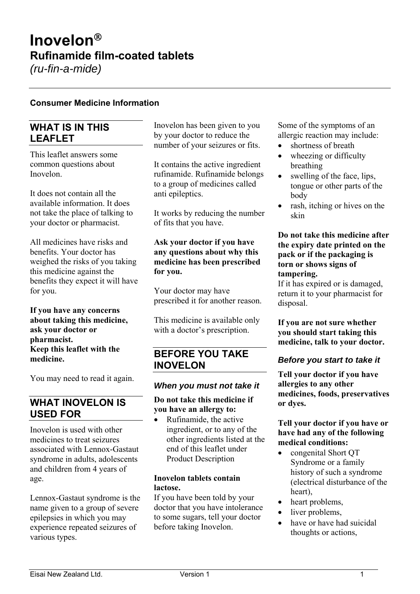# **Inovelon Rufinamide film-coated tablets** *(ru-fin-a-mide)*

**Consumer Medicine Information** 

# **WHAT IS IN THIS LEAFLET**

This leaflet answers some common questions about Inovelon.

It does not contain all the available information. It does not take the place of talking to your doctor or pharmacist.

All medicines have risks and benefits. Your doctor has weighed the risks of you taking this medicine against the benefits they expect it will have for you.

**If you have any concerns about taking this medicine, ask your doctor or pharmacist. Keep this leaflet with the medicine.** 

You may need to read it again.

### **WHAT INOVELON IS USED FOR**

Inovelon is used with other medicines to treat seizures associated with Lennox-Gastaut syndrome in adults, adolescents and children from 4 years of age.

Lennox-Gastaut syndrome is the name given to a group of severe epilepsies in which you may experience repeated seizures of various types.

Inovelon has been given to you by your doctor to reduce the number of your seizures or fits.

It contains the active ingredient rufinamide. Rufinamide belongs to a group of medicines called anti epileptics.

It works by reducing the number of fits that you have.

**Ask your doctor if you have any questions about why this medicine has been prescribed for you.** 

Your doctor may have prescribed it for another reason.

This medicine is available only with a doctor's prescription.

### **BEFORE YOU TAKE INOVELON**

#### *When you must not take it*

#### **Do not take this medicine if you have an allergy to:**

 Rufinamide, the active ingredient, or to any of the other ingredients listed at the end of this leaflet under Product Description

#### **Inovelon tablets contain lactose.**

If you have been told by your doctor that you have intolerance to some sugars, tell your doctor before taking Inovelon.

Some of the symptoms of an allergic reaction may include:

- shortness of breath
- wheezing or difficulty breathing
- swelling of the face, lips, tongue or other parts of the body
- rash, itching or hives on the skin

#### **Do not take this medicine after the expiry date printed on the pack or if the packaging is torn or shows signs of tampering.**

If it has expired or is damaged, return it to your pharmacist for disposal.

**If you are not sure whether you should start taking this medicine, talk to your doctor.** 

#### *Before you start to take it*

**Tell your doctor if you have allergies to any other medicines, foods, preservatives or dyes.** 

#### **Tell your doctor if you have or have had any of the following medical conditions:**

- congenital Short QT Syndrome or a family history of such a syndrome (electrical disturbance of the heart),
- heart problems,
- liver problems,
- have or have had suicidal thoughts or actions,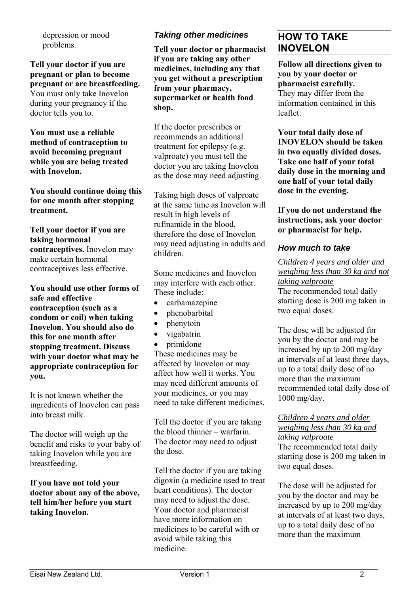depression or mood problems.

**Tell your doctor if you are pregnant or plan to become pregnant or are breastfeeding.**  You must only take Inovelon during your pregnancy if the doctor tells you to.

**You must use a reliable method of contraception to avoid becoming pregnant while you are being treated with Inovelon.** 

**You should continue doing this for one month after stopping treatment.** 

#### **Tell your doctor if you are taking hormonal contraceptives.** Inovelon may make certain hormonal contraceptives less effective.

**You should use other forms of safe and effective contraception (such as a condom or coil) when taking Inovelon. You should also do this for one month after stopping treatment. Discuss with your doctor what may be appropriate contraception for you.** 

It is not known whether the ingredients of Inovelon can pass into breast milk.

The doctor will weigh up the benefit and risks to your baby of taking Inovelon while you are breastfeeding.

#### **If you have not told your doctor about any of the above, tell him/her before you start taking Inovelon.**

# *Taking other medicines*

**Tell your doctor or pharmacist if you are taking any other medicines, including any that you get without a prescription from your pharmacy, supermarket or health food shop.** 

If the doctor prescribes or recommends an additional treatment for epilepsy (e.g. valproate) you must tell the doctor you are taking Inovelon as the dose may need adjusting.

Taking high doses of valproate at the same time as Inovelon will result in high levels of rufinamide in the blood, therefore the dose of Inovelon may need adjusting in adults and children.

Some medicines and Inovelon may interfere with each other. These include:

- carbamazepine
- phenobarbital
- phenytoin
- vigabatrin
- primidone

These medicines may be affected by Inovelon or may affect how well it works. You may need different amounts of your medicines, or you may need to take different medicines.

Tell the doctor if you are taking the blood thinner – warfarin. The doctor may need to adjust the dose.

Tell the doctor if you are taking digoxin (a medicine used to treat heart conditions). The doctor may need to adjust the dose. Your doctor and pharmacist have more information on medicines to be careful with or avoid while taking this medicine.

# **HOW TO TAKE INOVELON**

**Follow all directions given to you by your doctor or pharmacist carefully.**  They may differ from the information contained in this leaflet.

**Your total daily dose of INOVELON should be taken in two equally divided doses. Take one half of your total daily dose in the morning and one half of your total daily dose in the evening.** 

**If you do not understand the instructions, ask your doctor or pharmacist for help.**

### *How much to take*

*Children 4 years and older and weighing less than 30 kg and not taking valproate*  The recommended total daily starting dose is 200 mg taken in two equal doses.

The dose will be adjusted for you by the doctor and may be increased by up to 200 mg/day at intervals of at least three days, up to a total daily dose of no more than the maximum recommended total daily dose of 1000 mg/day.

# *Children 4 years and older weighing less than 30 kg and*

*taking valproate*  The recommended total daily starting dose is 200 mg taken in two equal doses.

The dose will be adjusted for you by the doctor and may be increased by up to 200 mg/day at intervals of at least two days, up to a total daily dose of no more than the maximum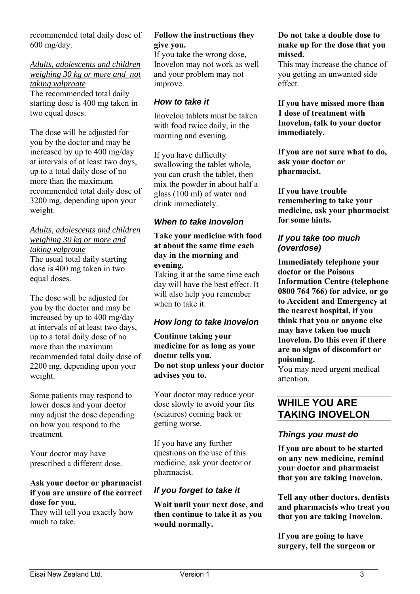recommended total daily dose of 600 mg/day.

*Adults, adolescents and children weighing 30 kg or more and not taking valproate* 

The recommended total daily starting dose is 400 mg taken in two equal doses.

The dose will be adjusted for you by the doctor and may be increased by up to 400 mg/day at intervals of at least two days, up to a total daily dose of no more than the maximum recommended total daily dose of 3200 mg, depending upon your weight.

### *Adults, adolescents and children weighing 30 kg or more and taking valproate*  The usual total daily starting

dose is 400 mg taken in two equal doses.

The dose will be adjusted for you by the doctor and may be increased by up to 400 mg/day at intervals of at least two days, up to a total daily dose of no more than the maximum recommended total daily dose of 2200 mg, depending upon your weight.

Some patients may respond to lower doses and your doctor may adjust the dose depending on how you respond to the treatment.

Your doctor may have prescribed a different dose.

### **Ask your doctor or pharmacist if you are unsure of the correct dose for you.**

They will tell you exactly how much to take.

#### **Follow the instructions they give you.**

If you take the wrong dose, Inovelon may not work as well and your problem may not improve.

### *How to take it*

Inovelon tablets must be taken with food twice daily, in the morning and evening.

If you have difficulty swallowing the tablet whole, you can crush the tablet, then mix the powder in about half a glass (100 ml) of water and drink immediately.

### *When to take Inovelon*

#### **Take your medicine with food at about the same time each day in the morning and evening.**

Taking it at the same time each day will have the best effect. It will also help you remember when to take it.

### *How long to take Inovelon*

**Continue taking your medicine for as long as your doctor tells you. Do not stop unless your doctor advises you to.** 

Your doctor may reduce your dose slowly to avoid your fits (seizures) coming back or getting worse.

If you have any further questions on the use of this medicine, ask your doctor or pharmacist.

### *If you forget to take it*

**Wait until your next dose, and then continue to take it as you would normally.** 

#### **Do not take a double dose to make up for the dose that you missed.**

This may increase the chance of you getting an unwanted side effect.

**If you have missed more than 1 dose of treatment with Inovelon, talk to your doctor immediately.** 

**If you are not sure what to do, ask your doctor or pharmacist.** 

**If you have trouble remembering to take your medicine, ask your pharmacist for some hints.** 

### *If you take too much (overdose)*

**Immediately telephone your doctor or the Poisons Information Centre (telephone 0800 764 766) for advice, or go to Accident and Emergency at the nearest hospital, if you think that you or anyone else may have taken too much Inovelon. Do this even if there are no signs of discomfort or poisoning.** 

You may need urgent medical attention.

# **WHILE YOU ARE TAKING INOVELON**

### *Things you must do*

**If you are about to be started on any new medicine, remind your doctor and pharmacist that you are taking Inovelon.** 

**Tell any other doctors, dentists and pharmacists who treat you that you are taking Inovelon.** 

**If you are going to have surgery, tell the surgeon or**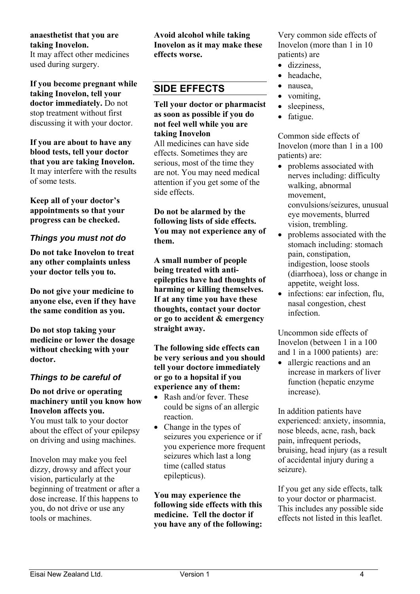### **anaesthetist that you are taking Inovelon.**

It may affect other medicines used during surgery.

**If you become pregnant while taking Inovelon, tell your doctor immediately.** Do not stop treatment without first discussing it with your doctor.

**If you are about to have any blood tests, tell your doctor that you are taking Inovelon.**  It may interfere with the results of some tests.

**Keep all of your doctor's appointments so that your progress can be checked.** 

### *Things you must not do*

**Do not take Inovelon to treat any other complaints unless your doctor tells you to.** 

**Do not give your medicine to anyone else, even if they have the same condition as you.** 

**Do not stop taking your medicine or lower the dosage without checking with your doctor.** 

### *Things to be careful of*

**Do not drive or operating machinery until you know how Inovelon affects you.** 

You must talk to your doctor about the effect of your epilepsy on driving and using machines.

Inovelon may make you feel dizzy, drowsy and affect your vision, particularly at the beginning of treatment or after a dose increase. If this happens to you, do not drive or use any tools or machines.

**Avoid alcohol while taking Inovelon as it may make these effects worse.** 

# **SIDE EFFECTS**

**Tell your doctor or pharmacist as soon as possible if you do not feel well while you are taking Inovelon** 

All medicines can have side effects. Sometimes they are serious, most of the time they are not. You may need medical attention if you get some of the side effects.

**Do not be alarmed by the following lists of side effects. You may not experience any of them.** 

**A small number of people being treated with antiepileptics have had thoughts of harming or killing themselves. If at any time you have these thoughts, contact your doctor or go to accident & emergency straight away.** 

**The following side effects can be very serious and you should tell your doctore immediately or go to a hopsital if you experience any of them:** 

- Rash and/or fever. These could be signs of an allergic reaction.
- Change in the types of seizures you experience or if you experience more frequent seizures which last a long time (called status epilepticus).

**You may experience the following side effects with this medicine. Tell the doctor if you have any of the following:** 

Very common side effects of Inovelon (more than 1 in 10 patients) are

- dizziness,
- headache,
- nausea,
- vomiting,
- sleepiness,
- fatigue.

Common side effects of Inovelon (more than 1 in a 100 patients) are:

- problems associated with nerves including: difficulty walking, abnormal movement, convulsions/seizures, unusual eye movements, blurred vision, trembling.
- problems associated with the stomach including: stomach pain, constipation, indigestion, loose stools (diarrhoea), loss or change in appetite, weight loss.
- infections: ear infection, flu, nasal congestion, chest infection.

Uncommon side effects of Inovelon (between 1 in a 100 and 1 in a 1000 patients) are:

• allergic reactions and an increase in markers of liver function (hepatic enzyme increase).

In addition patients have experienced: anxiety, insomnia, nose bleeds, acne, rash, back pain, infrequent periods, bruising, head injury (as a result of accidental injury during a seizure).

If you get any side effects, talk to your doctor or pharmacist. This includes any possible side effects not listed in this leaflet.